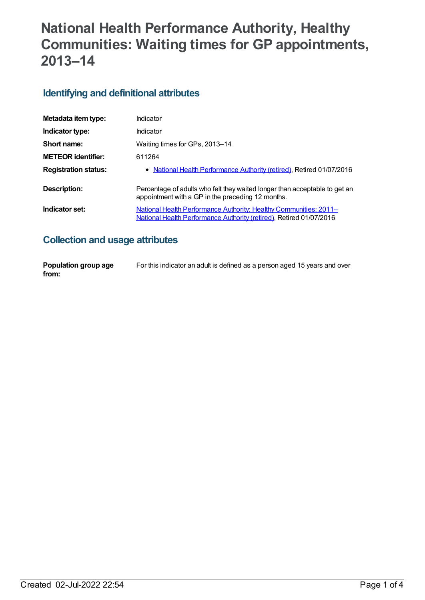# **National Health Performance Authority, Healthy Communities: Waiting times for GP appointments, 2013–14**

#### **Identifying and definitional attributes**

| Metadata item type:         | Indicator                                                                                                                                       |
|-----------------------------|-------------------------------------------------------------------------------------------------------------------------------------------------|
| Indicator type:             | Indicator                                                                                                                                       |
| Short name:                 | Waiting times for GPs, 2013-14                                                                                                                  |
| <b>METEOR</b> identifier:   | 611264                                                                                                                                          |
| <b>Registration status:</b> | • National Health Performance Authority (retired), Retired 01/07/2016                                                                           |
| Description:                | Percentage of adults who felt they waited longer than acceptable to get an<br>appointment with a GP in the preceding 12 months.                 |
| Indicator set:              | <u>National Health Performance Authority: Healthy Communities: 2011–</u><br>National Health Performance Authority (retired), Retired 01/07/2016 |

# **Collection and usage attributes**

| Population group age | For this indicator an adult is defined as a person aged 15 years and over |
|----------------------|---------------------------------------------------------------------------|
| from:                |                                                                           |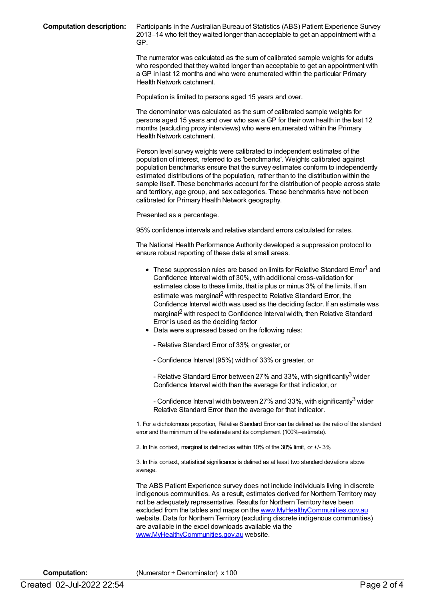**Computation description:** Participants in the Australian Bureau of Statistics (ABS) Patient Experience Survey 2013–14 who felt they waited longer than acceptable to get an appointment with a GP.

> The numerator was calculated as the sum of calibrated sample weights for adults who responded that they waited longer than acceptable to get an appointment with a GP in last 12 months and who were enumerated within the particular Primary Health Network catchment.

Population is limited to persons aged 15 years and over.

The denominator was calculated as the sum of calibrated sample weights for persons aged 15 years and over who saw a GP for their own health in the last 12 months (excluding proxy interviews) who were enumerated within the Primary Health Network catchment.

Person level survey weights were calibrated to independent estimates of the population of interest, referred to as 'benchmarks'. Weights calibrated against population benchmarks ensure that the survey estimates conform to independently estimated distributions of the population, rather than to the distribution within the sample itself. These benchmarks account for the distribution of people across state and territory, age group, and sex categories. These benchmarks have not been calibrated for Primary Health Network geography.

Presented as a percentage.

95% confidence intervals and relative standard errors calculated for rates.

The National Health Performance Authority developed a suppression protocol to ensure robust reporting of these data at small areas.

- $\bullet$  These suppression rules are based on limits for Relative Standard Error<sup>1</sup> and Confidence Interval width of 30%, with additional cross-validation for estimates close to these limits, that is plus or minus 3% of the limits. If an estimate was marginal<sup>2</sup> with respect to Relative Standard Error, the Confidence Interval width was used as the deciding factor. If an estimate was marginal<sup>2</sup> with respect to Confidence Interval width, then Relative Standard Error is used as the deciding factor
- Data were supressed based on the following rules:
	- Relative Standard Error of 33% or greater, or
	- Confidence Interval (95%) width of 33% or greater, or

- Relative Standard Error between 27% and 33%, with significantly<sup>3</sup> wider Confidence Interval width than the average for that indicator, or

- Confidence Interval width between 27% and 33%, with significantly $^3$  wider Relative Standard Error than the average for that indicator.

1. For a dichotomous proportion, Relative Standard Error can be defined as the ratio of the standard error and the minimum of the estimate and its complement (100%–estimate).

2. In this context, marginal is defined as within 10% of the 30% limit, or +/- 3%

3. In this context, statistical significance is defined as at least two standard deviations above average.

The ABS Patient Experience survey does not include individuals living in discrete indigenous communities. As a result, estimates derived for Northern Territory may not be adequately representative. Results for Northern Territory have been excluded from the tables and maps on the [www.MyHealthyCommunities.gov.au](http://www.myhealthycommunities.gov.au) website. Data for Northern Territory (excluding discrete indigenous communities) are available in the excel downloads available via the [www.MyHealthyCommunities.gov.au](http://www.myhealthycommunities.gov.au) website.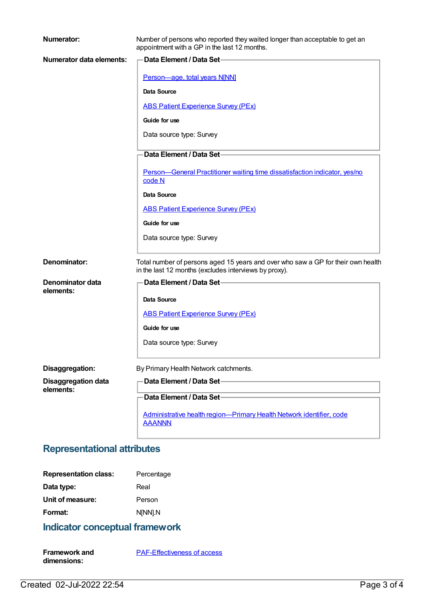| Numerator:                              | Number of persons who reported they waited longer than acceptable to get an<br>appointment with a GP in the last 12 months.               |
|-----------------------------------------|-------------------------------------------------------------------------------------------------------------------------------------------|
| Numerator data elements:                | Data Element / Data Set-                                                                                                                  |
|                                         | Person-age, total years N[NN]                                                                                                             |
|                                         | Data Source                                                                                                                               |
|                                         | <b>ABS Patient Experience Survey (PEx)</b>                                                                                                |
|                                         | Guide for use                                                                                                                             |
|                                         | Data source type: Survey                                                                                                                  |
|                                         | Data Element / Data Set-                                                                                                                  |
|                                         | Person-General Practitioner waiting time dissatisfaction indicator, yes/no<br>code N                                                      |
|                                         | Data Source                                                                                                                               |
|                                         | <b>ABS Patient Experience Survey (PEx)</b>                                                                                                |
|                                         | Guide for use                                                                                                                             |
|                                         | Data source type: Survey                                                                                                                  |
| Denominator:                            | Total number of persons aged 15 years and over who saw a GP for their own health<br>in the last 12 months (excludes interviews by proxy). |
| Denominator data                        | Data Element / Data Set-                                                                                                                  |
| elements:                               | Data Source                                                                                                                               |
|                                         | <b>ABS Patient Experience Survey (PEx)</b>                                                                                                |
|                                         | Guide for use                                                                                                                             |
|                                         | Data source type: Survey                                                                                                                  |
|                                         |                                                                                                                                           |
| Disaggregation:                         | By Primary Health Network catchments.                                                                                                     |
| <b>Disaggregation data</b><br>elements: | Data Element / Data Set-                                                                                                                  |
|                                         | Data Element / Data Set-                                                                                                                  |
|                                         | Administrative health region-Primary Health Network identifier, code<br><b>AAANNN</b>                                                     |

# **Representational attributes**

| <b>Representation class:</b> | Percentage |
|------------------------------|------------|
| Data type:                   | Real       |
| Unit of measure:             | Person     |
| Format:                      | N[NN].N    |

# **Indicator conceptual framework**

| <b>Framework and</b> | <b>PAF-Effectiveness of access</b> |
|----------------------|------------------------------------|
| dimensions:          |                                    |